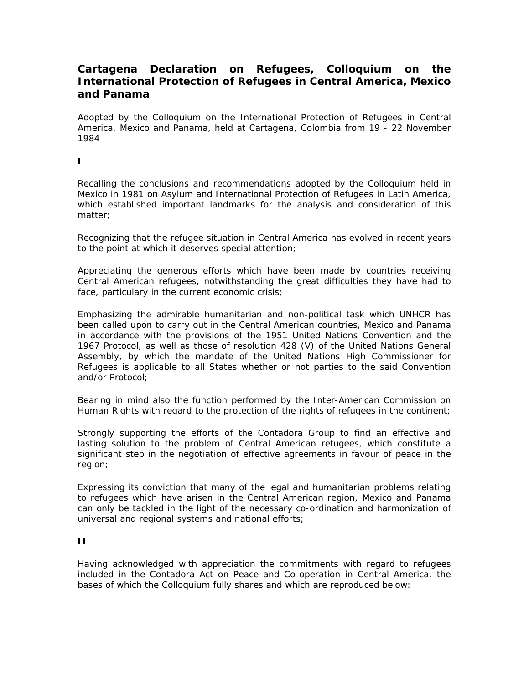## **Cartagena Declaration on Refugees, Colloquium on the International Protection of Refugees in Central America, Mexico and Panama**

Adopted by the Colloquium on the International Protection of Refugees in Central America, Mexico and Panama, held at Cartagena, Colombia from 19 - 22 November 1984

**I**

*Recalling* the conclusions and recommendations adopted by the Colloquium held in Mexico in 1981 on Asylum and International Protection of Refugees in Latin America, which established important landmarks for the analysis and consideration of this matter;

*Recognizing* that the refugee situation in Central America has evolved in recent years to the point at which it deserves special attention;

*Appreciating* the generous efforts which have been made by countries receiving Central American refugees, notwithstanding the great difficulties they have had to face, particulary in the current economic crisis;

*Emphasizing* the admirable humanitarian and non-political task which UNHCR has been called upon to carry out in the Central American countries, Mexico and Panama in accordance with the provisions of the 1951 United Nations Convention and the 1967 Protocol, as well as those of resolution 428 (V) of the United Nations General Assembly, by which the mandate of the United Nations High Commissioner for Refugees is applicable to all States whether or not parties to the said Convention and/or Protocol;

*Bearing in mind* also the function performed by the Inter-American Commission on Human Rights with regard to the protection of the rights of refugees in the continent;

*Strongly supporting* the efforts of the Contadora Group to find an effective and lasting solution to the problem of Central American refugees, which constitute a significant step in the negotiation of effective agreements in favour of peace in the region;

*Expressing* its conviction that many of the legal and humanitarian problems relating to refugees which have arisen in the Central American region, Mexico and Panama can only be tackled in the light of the necessary co-ordination and harmonization of universal and regional systems and national efforts;

## **II**

*Having acknowledged* with appreciation the commitments with regard to refugees included in the Contadora Act on Peace and Co-operation in Central America, the bases of which the Colloquium fully shares and which are reproduced below: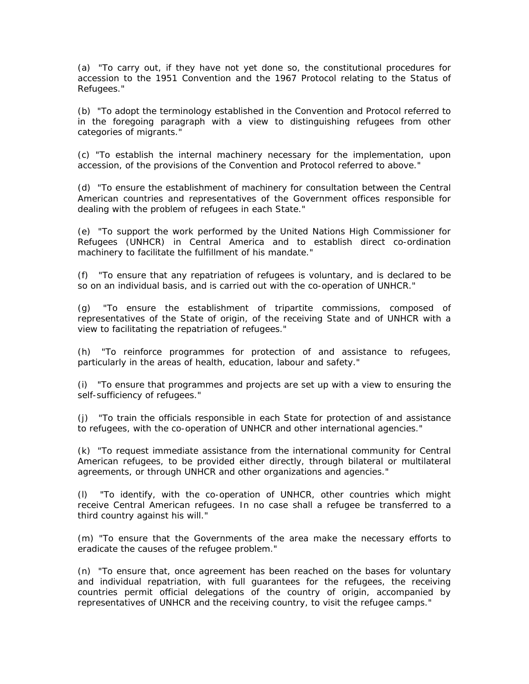(a) "To carry out, if they have not yet done so, the constitutional procedures for accession to the 1951 Convention and the 1967 Protocol relating to the Status of Refugees."

(b) "To adopt the terminology established in the Convention and Protocol referred to in the foregoing paragraph with a view to distinguishing refugees from other categories of migrants."

(c) "To establish the internal machinery necessary for the implementation, upon accession, of the provisions of the Convention and Protocol referred to above."

(d) "To ensure the establishment of machinery for consultation between the Central American countries and representatives of the Government offices responsible for dealing with the problem of refugees in each State."

(e) "To support the work performed by the United Nations High Commissioner for Refugees (UNHCR) in Central America and to establish direct co-ordination machinery to facilitate the fulfillment of his mandate."

(f) "To ensure that any repatriation of refugees is voluntary, and is declared to be so on an individual basis, and is carried out with the co-operation of UNHCR."

(g) "To ensure the establishment of tripartite commissions, composed of representatives of the State of origin, of the receiving State and of UNHCR with a view to facilitating the repatriation of refugees."

(h) "To reinforce programmes for protection of and assistance to refugees, particularly in the areas of health, education, labour and safety."

(i) "To ensure that programmes and projects are set up with a view to ensuring the self-sufficiency of refugees."

(j) "To train the officials responsible in each State for protection of and assistance to refugees, with the co-operation of UNHCR and other international agencies."

(k) "To request immediate assistance from the international community for Central American refugees, to be provided either directly, through bilateral or multilateral agreements, or through UNHCR and other organizations and agencies."

(l) "To identify, with the co-operation of UNHCR, other countries which might receive Central American refugees. In no case shall a refugee be transferred to a third country against his will."

(m) "To ensure that the Governments of the area make the necessary efforts to eradicate the causes of the refugee problem."

(n) "To ensure that, once agreement has been reached on the bases for voluntary and individual repatriation, with full guarantees for the refugees, the receiving countries permit official delegations of the country of origin, accompanied by representatives of UNHCR and the receiving country, to visit the refugee camps."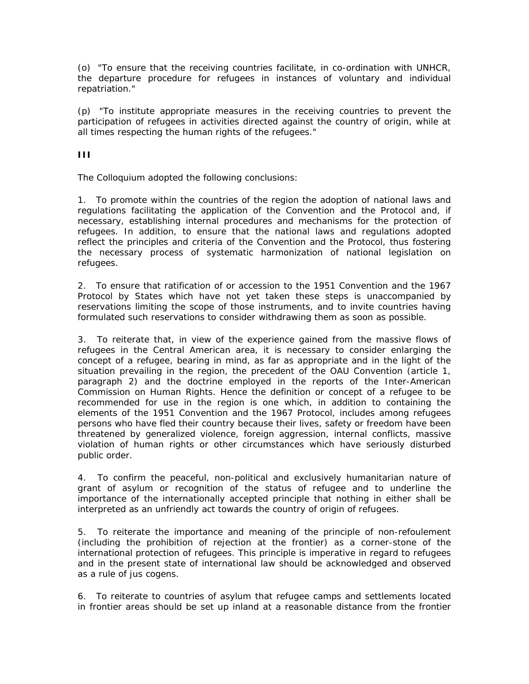(o) "To ensure that the receiving countries facilitate, in co-ordination with UNHCR, the departure procedure for refugees in instances of voluntary and individual repatriation."

(p) "To institute appropriate measures in the receiving countries to prevent the participation of refugees in activities directed against the country of origin, while at all times respecting the human rights of the refugees."

**III**

The Colloquium adopted the following conclusions:

1. To promote within the countries of the region the adoption of national laws and regulations facilitating the application of the Convention and the Protocol and, if necessary, establishing internal procedures and mechanisms for the protection of refugees. In addition, to ensure that the national laws and regulations adopted reflect the principles and criteria of the Convention and the Protocol, thus fostering the necessary process of systematic harmonization of national legislation on refugees.

2. To ensure that ratification of or accession to the 1951 Convention and the 1967 Protocol by States which have not yet taken these steps is unaccompanied by reservations limiting the scope of those instruments, and to invite countries having formulated such reservations to consider withdrawing them as soon as possible.

3. To reiterate that, in view of the experience gained from the massive flows of refugees in the Central American area, it is necessary to consider enlarging the concept of a refugee, bearing in mind, as far as appropriate and in the light of the situation prevailing in the region, the precedent of the OAU Convention (article 1, paragraph 2) and the doctrine employed in the reports of the Inter-American Commission on Human Rights. Hence the definition or concept of a refugee to be recommended for use in the region is one which, in addition to containing the elements of the 1951 Convention and the 1967 Protocol, includes among refugees persons who have fled their country because their lives, safety or freedom have been threatened by generalized violence, foreign aggression, internal conflicts, massive violation of human rights or other circumstances which have seriously disturbed public order.

4. To confirm the peaceful, non-political and exclusively humanitarian nature of grant of asylum or recognition of the status of refugee and to underline the importance of the internationally accepted principle that nothing in either shall be interpreted as an unfriendly act towards the country of origin of refugees.

5. To reiterate the importance and meaning of the principle of non-refoulement (including the prohibition of rejection at the frontier) as a corner-stone of the international protection of refugees. This principle is imperative in regard to refugees and in the present state of international law should be acknowledged and observed as a rule of jus cogens.

6. To reiterate to countries of asylum that refugee camps and settlements located in frontier areas should be set up inland at a reasonable distance from the frontier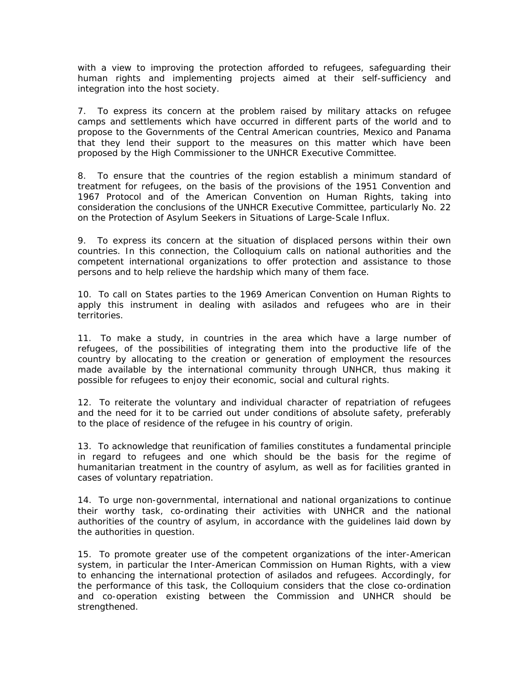with a view to improving the protection afforded to refugees, safeguarding their human rights and implementing projects aimed at their self-sufficiency and integration into the host society.

7. To express its concern at the problem raised by military attacks on refugee camps and settlements which have occurred in different parts of the world and to propose to the Governments of the Central American countries, Mexico and Panama that they lend their support to the measures on this matter which have been proposed by the High Commissioner to the UNHCR Executive Committee.

8. To ensure that the countries of the region establish a minimum standard of treatment for refugees, on the basis of the provisions of the 1951 Convention and 1967 Protocol and of the American Convention on Human Rights, taking into consideration the conclusions of the UNHCR Executive Committee, particularly No. 22 on the Protection of Asylum Seekers in Situations of Large-Scale Influx.

9. To express its concern at the situation of displaced persons within their own countries. In this connection, the Colloquium calls on national authorities and the competent international organizations to offer protection and assistance to those persons and to help relieve the hardship which many of them face.

10. To call on States parties to the 1969 American Convention on Human Rights to apply this instrument in dealing with asilados and refugees who are in their territories.

11. To make a study, in countries in the area which have a large number of refugees, of the possibilities of integrating them into the productive life of the country by allocating to the creation or generation of employment the resources made available by the international community through UNHCR, thus making it possible for refugees to enjoy their economic, social and cultural rights.

12. To reiterate the voluntary and individual character of repatriation of refugees and the need for it to be carried out under conditions of absolute safety, preferably to the place of residence of the refugee in his country of origin.

13. To acknowledge that reunification of families constitutes a fundamental principle in regard to refugees and one which should be the basis for the regime of humanitarian treatment in the country of asylum, as well as for facilities granted in cases of voluntary repatriation.

14. To urge non-governmental, international and national organizations to continue their worthy task, co-ordinating their activities with UNHCR and the national authorities of the country of asylum, in accordance with the guidelines laid down by the authorities in question.

15. To promote greater use of the competent organizations of the inter-American system, in particular the Inter-American Commission on Human Rights, with a view to enhancing the international protection of asilados and refugees. Accordingly, for the performance of this task, the Colloquium considers that the close co-ordination and co-operation existing between the Commission and UNHCR should be strengthened.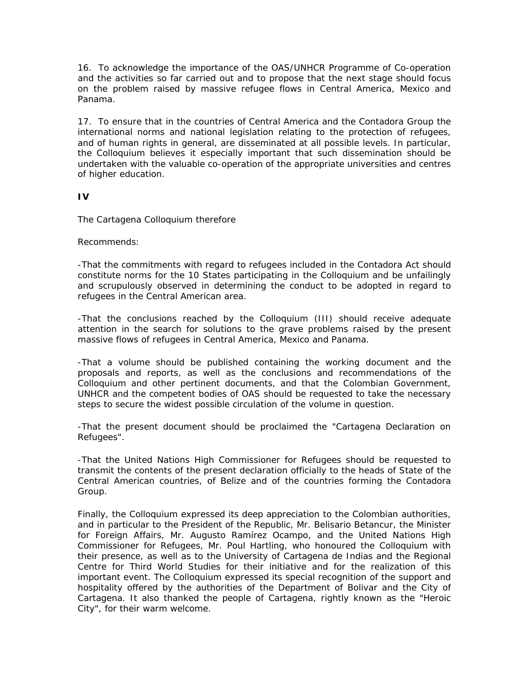16. To acknowledge the importance of the OAS/UNHCR Programme of Co-operation and the activities so far carried out and to propose that the next stage should focus on the problem raised by massive refugee flows in Central America, Mexico and Panama.

17. To ensure that in the countries of Central America and the Contadora Group the international norms and national legislation relating to the protection of refugees, and of human rights in general, are disseminated at all possible levels. In particular, the Colloquium believes it especially important that such dissemination should be undertaken with the valuable co-operation of the appropriate universities and centres of higher education.

## **IV**

The Cartagena Colloquium therefore

## Recommends:

-That the commitments with regard to refugees included in the Contadora Act should constitute norms for the 10 States participating in the Colloquium and be unfailingly and scrupulously observed in determining the conduct to be adopted in regard to refugees in the Central American area.

-That the conclusions reached by the Colloquium (III) should receive adequate attention in the search for solutions to the grave problems raised by the present massive flows of refugees in Central America, Mexico and Panama.

-That a volume should be published containing the working document and the proposals and reports, as well as the conclusions and recommendations of the Colloquium and other pertinent documents, and that the Colombian Government, UNHCR and the competent bodies of OAS should be requested to take the necessary steps to secure the widest possible circulation of the volume in question.

-That the present document should be proclaimed the "Cartagena Declaration on Refugees".

-That the United Nations High Commissioner for Refugees should be requested to transmit the contents of the present declaration officially to the heads of State of the Central American countries, of Belize and of the countries forming the Contadora Group.

Finally, the Colloquium expressed its deep appreciation to the Colombian authorities, and in particular to the President of the Republic, Mr. Belisario Betancur, the Minister for Foreign Affairs, Mr. Augusto Ramírez Ocampo, and the United Nations High Commissioner for Refugees, Mr. Poul Hartling, who honoured the Colloquium with their presence, as well as to the University of Cartagena de Indias and the Regional Centre for Third World Studies for their initiative and for the realization of this important event. The Colloquium expressed its special recognition of the support and hospitality offered by the authorities of the Department of Bolivar and the City of Cartagena. It also thanked the people of Cartagena, rightly known as the "Heroic City", for their warm welcome.